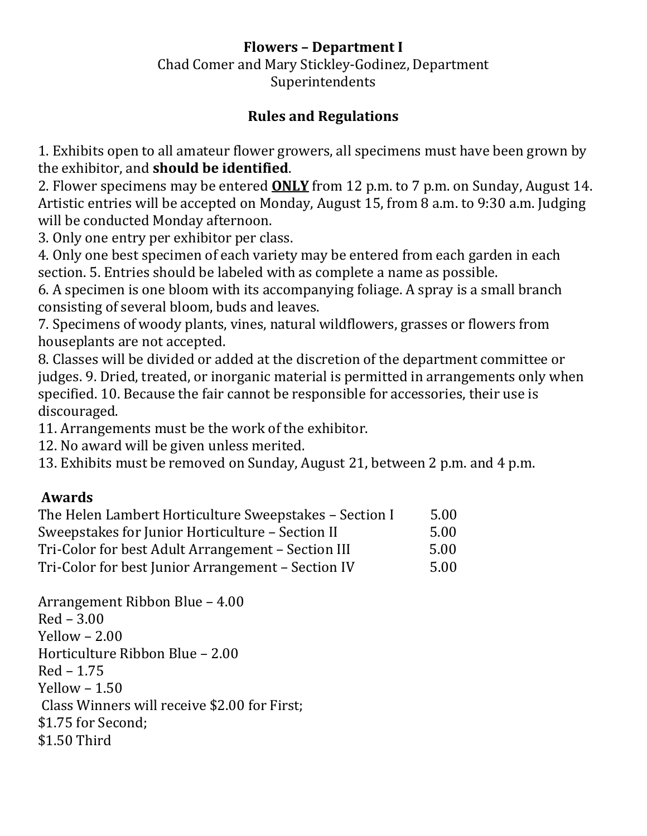## **Flowers – Department I**

Chad Comer and Mary Stickley-Godinez, Department Superintendents

## **Rules and Regulations**

1. Exhibits open to all amateur flower growers, all specimens must have been grown by the exhibitor, and **should be identified**.

2. Flower specimens may be entered **ONLY** from 12 p.m. to 7 p.m. on Sunday, August 14. Artistic entries will be accepted on Monday, August 15, from 8 a.m. to 9:30 a.m. Judging will be conducted Monday afternoon.

3. Only one entry per exhibitor per class.

4. Only one best specimen of each variety may be entered from each garden in each section. 5. Entries should be labeled with as complete a name as possible.

6. A specimen is one bloom with its accompanying foliage. A spray is a small branch consisting of several bloom, buds and leaves.

7. Specimens of woody plants, vines, natural wildflowers, grasses or flowers from houseplants are not accepted.

8. Classes will be divided or added at the discretion of the department committee or judges. 9. Dried, treated, or inorganic material is permitted in arrangements only when specified. 10. Because the fair cannot be responsible for accessories, their use is discouraged.

11. Arrangements must be the work of the exhibitor.

12. No award will be given unless merited.

13. Exhibits must be removed on Sunday, August 21, between 2 p.m. and 4 p.m.

### **Awards**

| The Helen Lambert Horticulture Sweepstakes - Section I | 5.00 |
|--------------------------------------------------------|------|
| Sweepstakes for Junior Horticulture – Section II       | 5.00 |
| Tri-Color for best Adult Arrangement – Section III     | 5.00 |
| Tri-Color for best Junior Arrangement - Section IV     | 5.00 |

Arrangement Ribbon Blue – 4.00 Red – 3.00  $Yellow - 2.00$ Horticulture Ribbon Blue – 2.00 Red – 1.75  $Yellow - 1.50$ Class Winners will receive \$2.00 for First; \$1.75 for Second; \$1.50 Third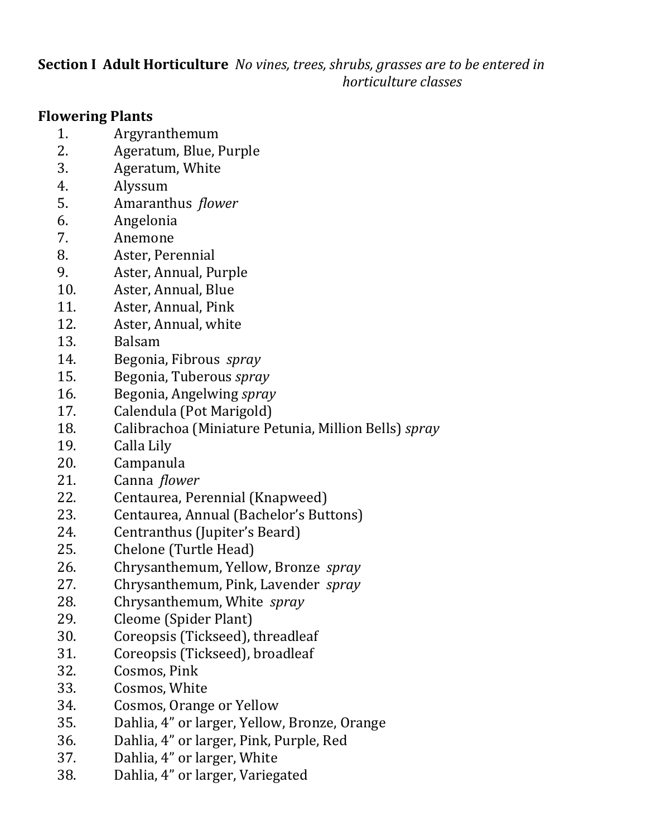**Section I Adult Horticulture** *No vines, trees, shrubs, grasses are to be entered in horticulture classes*

#### **Flowering Plants**

- 1. Argyranthemum
- 2. Ageratum, Blue, Purple
- 3. Ageratum, White
- 4. Alyssum
- 5. Amaranthus *flower*
- 6. Angelonia
- 7. Anemone
- 8. Aster, Perennial
- 9. Aster, Annual, Purple
- 10. Aster, Annual, Blue
- 11. Aster, Annual, Pink
- 12. Aster, Annual, white
- 13. Balsam
- 14. Begonia, Fibrous *spray*
- 15. Begonia, Tuberous *spray*
- 16. Begonia, Angelwing *spray*
- 17. Calendula (Pot Marigold)
- 18. Calibrachoa (Miniature Petunia, Million Bells) *spray*
- 19. Calla Lily
- 20. Campanula
- 21. Canna *flower*
- 22. Centaurea, Perennial (Knapweed)
- 23. Centaurea, Annual (Bachelor's Buttons)
- 24. Centranthus (Jupiter's Beard)
- 25. Chelone (Turtle Head)
- 26. Chrysanthemum, Yellow, Bronze *spray*
- 27. Chrysanthemum, Pink, Lavender *spray*
- 28. Chrysanthemum, White *spray*
- 29. Cleome (Spider Plant)
- 30. Coreopsis (Tickseed), threadleaf
- 31. Coreopsis (Tickseed), broadleaf
- 32. Cosmos, Pink
- 33. Cosmos, White
- 34. Cosmos, Orange or Yellow
- 35. Dahlia, 4" or larger, Yellow, Bronze, Orange
- 36. Dahlia, 4" or larger, Pink, Purple, Red
- 37. Dahlia, 4" or larger, White
- 38. Dahlia, 4" or larger, Variegated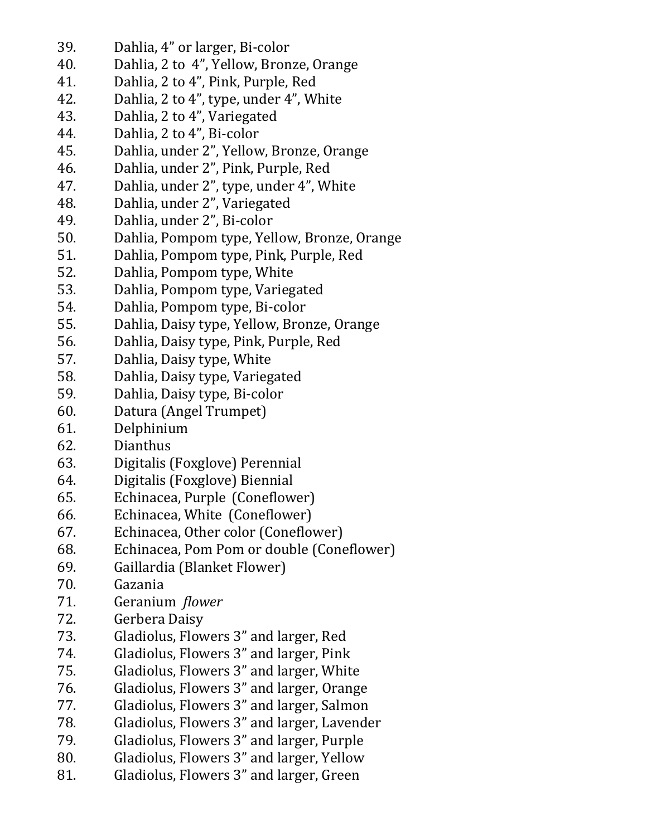- 39. Dahlia, 4" or larger, Bi-color
- 40. Dahlia, 2 to 4", Yellow, Bronze, Orange
- 41. Dahlia, 2 to 4", Pink, Purple, Red
- 42. Dahlia, 2 to 4", type, under 4", White
- 43. Dahlia, 2 to 4", Variegated
- 44. Dahlia, 2 to 4", Bi-color
- 45. Dahlia, under 2", Yellow, Bronze, Orange
- 46. Dahlia, under 2", Pink, Purple, Red
- 47. Dahlia, under 2", type, under 4", White
- 48. Dahlia, under 2", Variegated
- 49. Dahlia, under 2", Bi-color
- 50. Dahlia, Pompom type, Yellow, Bronze, Orange
- 51. Dahlia, Pompom type, Pink, Purple, Red
- 52. Dahlia, Pompom type, White
- 53. Dahlia, Pompom type, Variegated
- 54. Dahlia, Pompom type, Bi-color
- 55. Dahlia, Daisy type, Yellow, Bronze, Orange
- 56. Dahlia, Daisy type, Pink, Purple, Red
- 57. Dahlia, Daisy type, White
- 58. Dahlia, Daisy type, Variegated
- 59. Dahlia, Daisy type, Bi-color
- 60. Datura (Angel Trumpet)
- 61. Delphinium
- 62. Dianthus
- 63. Digitalis (Foxglove) Perennial
- 64. Digitalis (Foxglove) Biennial
- 65. Echinacea, Purple (Coneflower)
- 66. Echinacea, White (Coneflower)
- 67. Echinacea, Other color (Coneflower)
- 68. Echinacea, Pom Pom or double (Coneflower)
- 69. Gaillardia (Blanket Flower)
- 70. Gazania
- 71. Geranium *flower*
- 72. Gerbera Daisy
- 73. Gladiolus, Flowers 3" and larger, Red
- 74. Gladiolus, Flowers 3" and larger, Pink
- 75. Gladiolus, Flowers 3" and larger, White
- 76. Gladiolus, Flowers 3" and larger, Orange<br>77. Gladiolus, Flowers 3" and larger, Salmon
- Gladiolus, Flowers 3" and larger, Salmon
- 78. Gladiolus, Flowers 3" and larger, Lavender
- 79. Gladiolus, Flowers 3" and larger, Purple
- 80. Gladiolus, Flowers 3" and larger, Yellow
- 81. Gladiolus, Flowers 3" and larger, Green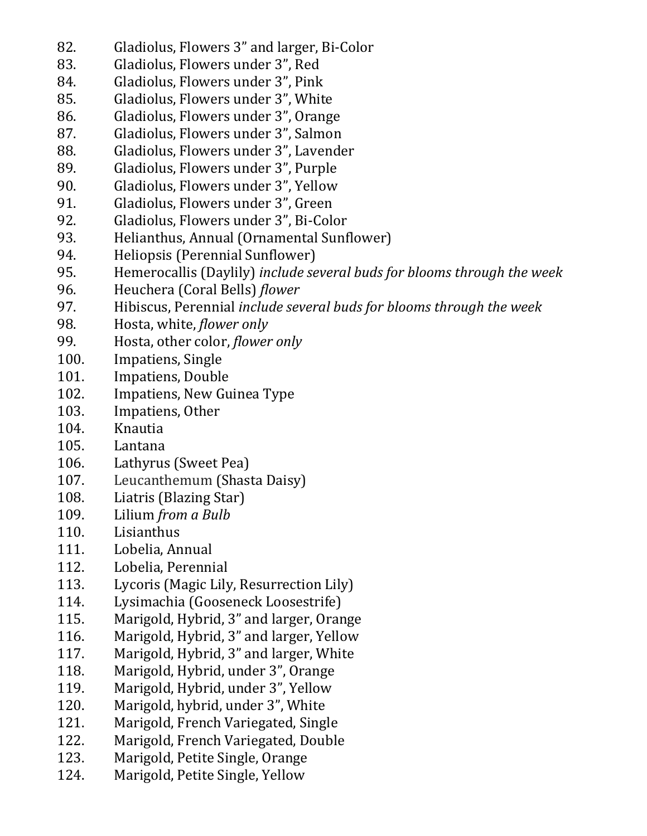- 82. Gladiolus, Flowers 3" and larger, Bi-Color
- 83. Gladiolus, Flowers under 3", Red
- 84. Gladiolus, Flowers under 3", Pink
- 85. Gladiolus, Flowers under 3", White
- 86. Gladiolus, Flowers under 3", Orange
- 87. Gladiolus, Flowers under 3", Salmon
- 88. Gladiolus, Flowers under 3", Lavender
- 89. Gladiolus, Flowers under 3", Purple
- 90. Gladiolus, Flowers under 3", Yellow
- 91. Gladiolus, Flowers under 3", Green
- 92. Gladiolus, Flowers under 3", Bi-Color
- 93. Helianthus, Annual (Ornamental Sunflower)
- 94. Heliopsis (Perennial Sunflower)
- 95. Hemerocallis (Daylily) *include several buds for blooms through the week*
- 96. Heuchera (Coral Bells) *flower*
- 97. Hibiscus, Perennial *include several buds for blooms through the week*
- 98. Hosta, white, *flower only*
- 99. Hosta, other color, *flower only*
- 100. Impatiens, Single
- 101. Impatiens, Double
- 102. Impatiens, New Guinea Type
- 103. Impatiens, Other
- 104. Knautia
- 105. Lantana
- 106. Lathyrus (Sweet Pea)
- 107. Leucanthemum (Shasta Daisy)
- 108. Liatris (Blazing Star)
- 109. Lilium *from a Bulb*
- 110. Lisianthus
- 111. Lobelia, Annual
- 112. Lobelia, Perennial
- 113. Lycoris (Magic Lily, Resurrection Lily)
- 114. Lysimachia (Gooseneck Loosestrife)
- 115. Marigold, Hybrid, 3" and larger, Orange
- 116. Marigold, Hybrid, 3" and larger, Yellow
- 117. Marigold, Hybrid, 3" and larger, White
- 118. Marigold, Hybrid, under 3", Orange
- 119. Marigold, Hybrid, under 3", Yellow
- 120. Marigold, hybrid, under 3", White
- 121. Marigold, French Variegated, Single
- 122. Marigold, French Variegated, Double
- 123. Marigold, Petite Single, Orange
- 124. Marigold, Petite Single, Yellow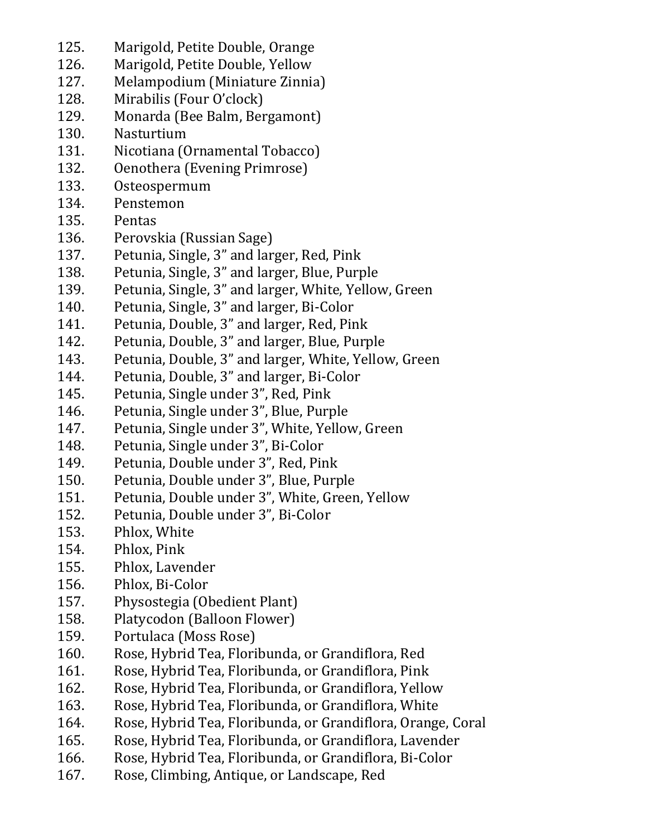- 125. Marigold, Petite Double, Orange
- 126. Marigold, Petite Double, Yellow
- 127. Melampodium (Miniature Zinnia)
- 128. Mirabilis (Four O'clock)
- 129. Monarda (Bee Balm, Bergamont)
- 130. Nasturtium
- 131. Nicotiana (Ornamental Tobacco)
- 132. Oenothera (Evening Primrose)
- 133. Osteospermum
- 134. Penstemon
- 135. Pentas
- 136. Perovskia (Russian Sage)
- 137. Petunia, Single, 3" and larger, Red, Pink
- 138. Petunia, Single, 3" and larger, Blue, Purple
- 139. Petunia, Single, 3" and larger, White, Yellow, Green
- 140. Petunia, Single, 3" and larger, Bi-Color
- 141. Petunia, Double, 3" and larger, Red, Pink
- 142. Petunia, Double, 3" and larger, Blue, Purple
- 143. Petunia, Double, 3" and larger, White, Yellow, Green
- 144. Petunia, Double, 3" and larger, Bi-Color
- 145. Petunia, Single under 3", Red, Pink
- 146. Petunia, Single under 3", Blue, Purple
- 147. Petunia, Single under 3", White, Yellow, Green
- 148. Petunia, Single under 3", Bi-Color
- 149. Petunia, Double under 3", Red, Pink
- 150. Petunia, Double under 3", Blue, Purple
- 151. Petunia, Double under 3", White, Green, Yellow
- 152. Petunia, Double under 3", Bi-Color
- 153. Phlox, White
- 154. Phlox, Pink
- 155. Phlox, Lavender
- 156. Phlox, Bi-Color
- 157. Physostegia (Obedient Plant)
- 158. Platycodon (Balloon Flower)
- 159. Portulaca (Moss Rose)
- 160. Rose, Hybrid Tea, Floribunda, or Grandiflora, Red
- 161. Rose, Hybrid Tea, Floribunda, or Grandiflora, Pink
- 162. Rose, Hybrid Tea, Floribunda, or Grandiflora, Yellow
- 163. Rose, Hybrid Tea, Floribunda, or Grandiflora, White
- 164. Rose, Hybrid Tea, Floribunda, or Grandiflora, Orange, Coral
- 165. Rose, Hybrid Tea, Floribunda, or Grandiflora, Lavender
- 166. Rose, Hybrid Tea, Floribunda, or Grandiflora, Bi-Color
- 167. Rose, Climbing, Antique, or Landscape, Red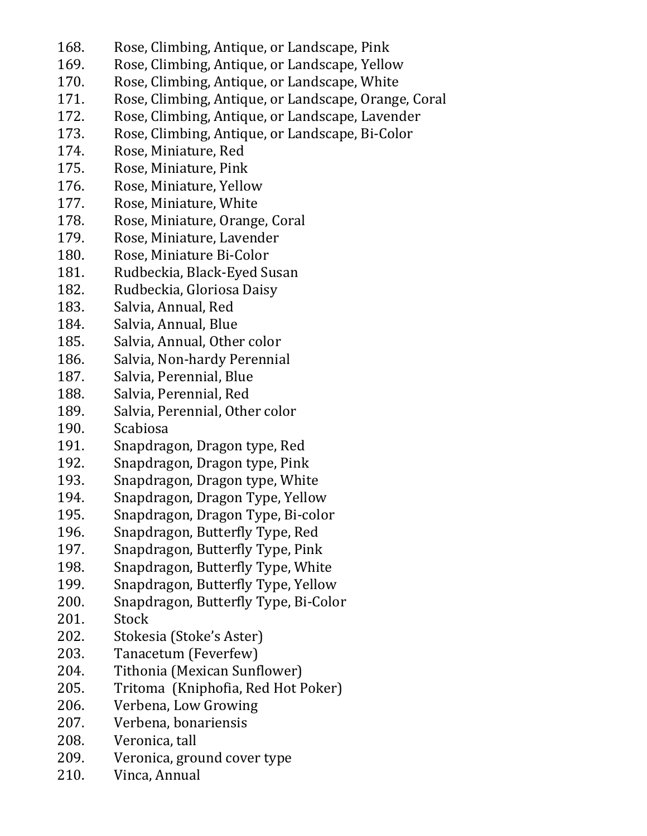- 168. Rose, Climbing, Antique, or Landscape, Pink
- 169. Rose, Climbing, Antique, or Landscape, Yellow
- 170. Rose, Climbing, Antique, or Landscape, White
- 171. Rose, Climbing, Antique, or Landscape, Orange, Coral
- 172. Rose, Climbing, Antique, or Landscape, Lavender
- 173. Rose, Climbing, Antique, or Landscape, Bi-Color
- 174. Rose, Miniature, Red
- 175. Rose, Miniature, Pink
- 176. Rose, Miniature, Yellow
- 177. Rose, Miniature, White
- 178. Rose, Miniature, Orange, Coral
- 179. Rose, Miniature, Lavender
- 180. Rose, Miniature Bi-Color
- 181. Rudbeckia, Black-Eyed Susan
- 182. Rudbeckia, Gloriosa Daisy
- 183. Salvia, Annual, Red
- 184. Salvia, Annual, Blue
- 185. Salvia, Annual, Other color
- 186. Salvia, Non-hardy Perennial
- 187. Salvia, Perennial, Blue
- 188. Salvia, Perennial, Red
- 189. Salvia, Perennial, Other color
- 190. Scabiosa
- 191. Snapdragon, Dragon type, Red
- 192. Snapdragon, Dragon type, Pink
- 193. Snapdragon, Dragon type, White
- 194. Snapdragon, Dragon Type, Yellow
- 195. Snapdragon, Dragon Type, Bi-color
- 196. Snapdragon, Butterfly Type, Red
- 197. Snapdragon, Butterfly Type, Pink
- 198. Snapdragon, Butterfly Type, White
- 199. Snapdragon, Butterfly Type, Yellow
- 200. Snapdragon, Butterfly Type, Bi-Color
- 201. Stock
- 202. Stokesia (Stoke's Aster)
- 203. Tanacetum (Feverfew)
- 204. Tithonia (Mexican Sunflower)
- 205. Tritoma (Kniphofia, Red Hot Poker)
- 206. Verbena, Low Growing
- 207. Verbena, bonariensis
- 208. Veronica, tall
- 209. Veronica, ground cover type
- 210. Vinca, Annual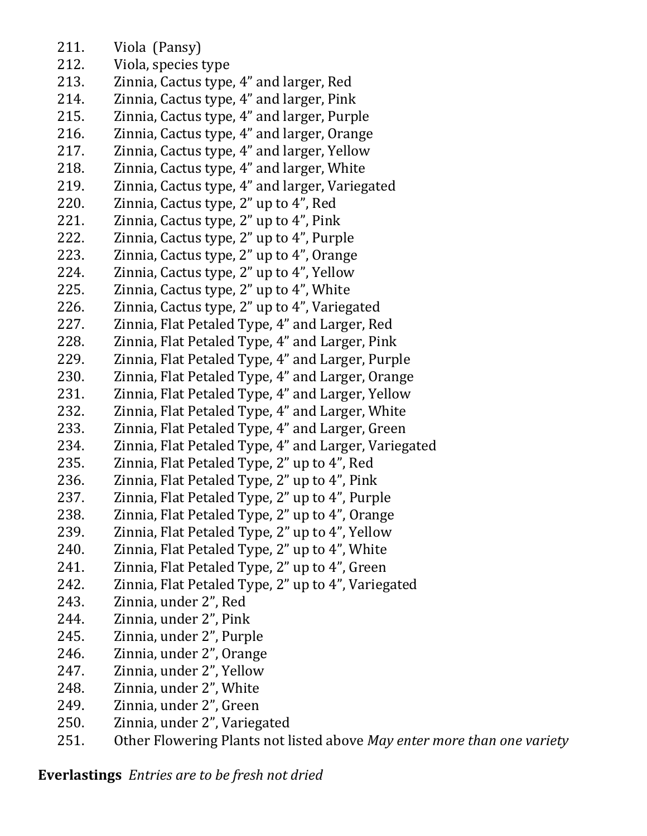- 211. Viola (Pansy)
- 212. Viola, species type
- 213. Zinnia, Cactus type, 4" and larger, Red
- 214. Zinnia, Cactus type, 4" and larger, Pink
- 215. Zinnia, Cactus type, 4" and larger, Purple
- 216. Zinnia, Cactus type, 4" and larger, Orange
- 217. Zinnia, Cactus type, 4" and larger, Yellow
- 218. Zinnia, Cactus type, 4" and larger, White
- 219. Zinnia, Cactus type, 4" and larger, Variegated
- 220. Zinnia, Cactus type, 2" up to 4", Red
- 221. Zinnia, Cactus type, 2" up to 4", Pink
- 222. Zinnia, Cactus type, 2" up to 4", Purple
- 223. Zinnia, Cactus type, 2" up to 4", Orange
- 224. Zinnia, Cactus type, 2" up to 4", Yellow
- 225. Zinnia, Cactus type, 2" up to 4", White
- 226. Zinnia, Cactus type, 2" up to 4", Variegated
- 227. Zinnia, Flat Petaled Type, 4" and Larger, Red
- 228. Zinnia, Flat Petaled Type, 4" and Larger, Pink
- 229. Zinnia, Flat Petaled Type, 4" and Larger, Purple
- 230. Zinnia, Flat Petaled Type, 4" and Larger, Orange
- 231. Zinnia, Flat Petaled Type, 4" and Larger, Yellow
- 232. Zinnia, Flat Petaled Type, 4" and Larger, White
- 233. Zinnia, Flat Petaled Type, 4" and Larger, Green
- 234. Zinnia, Flat Petaled Type, 4" and Larger, Variegated
- 235. Zinnia, Flat Petaled Type, 2" up to 4", Red
- 236. Zinnia, Flat Petaled Type, 2" up to 4", Pink
- 237. Zinnia, Flat Petaled Type, 2" up to 4", Purple
- 238. Zinnia, Flat Petaled Type, 2" up to 4", Orange
- 239. Zinnia, Flat Petaled Type, 2" up to 4", Yellow
- 240. Zinnia, Flat Petaled Type, 2" up to 4", White
- 241. Zinnia, Flat Petaled Type, 2" up to 4", Green
- 242. Zinnia, Flat Petaled Type, 2" up to 4", Variegated
- 243. Zinnia, under 2", Red
- 244. Zinnia, under 2", Pink
- 245. Zinnia, under 2", Purple
- 246. Zinnia, under 2", Orange
- 247. Zinnia, under 2", Yellow
- 248. Zinnia, under 2", White
- 249. Zinnia, under 2", Green
- 250. Zinnia, under 2", Variegated
- 251. Other Flowering Plants not listed above *May enter more than one variety*

**Everlastings** *Entries are to be fresh not dried*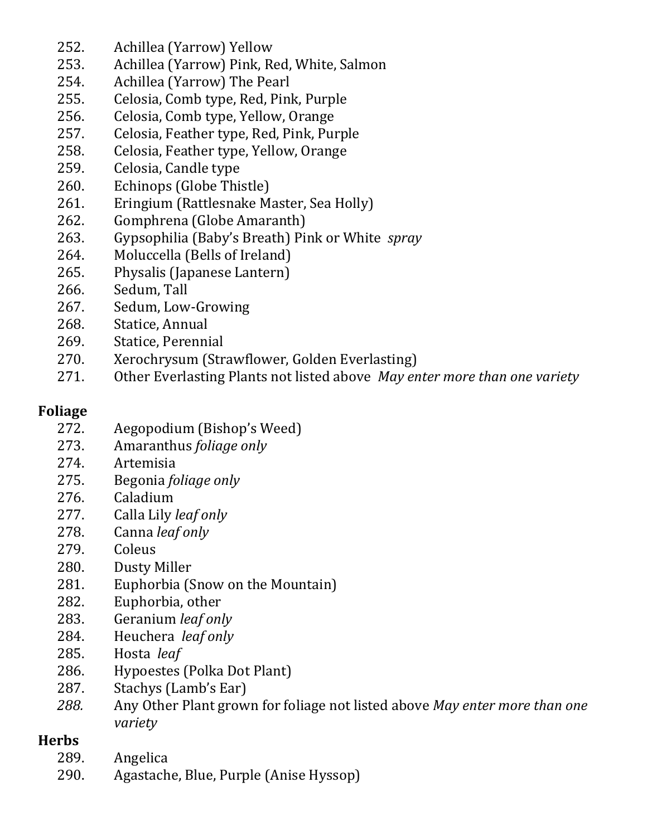- 252. Achillea (Yarrow) Yellow
- 253. Achillea (Yarrow) Pink, Red, White, Salmon
- 254. Achillea (Yarrow) The Pearl
- 255. Celosia, Comb type, Red, Pink, Purple
- 256. Celosia, Comb type, Yellow, Orange
- 257. Celosia, Feather type, Red, Pink, Purple
- 258. Celosia, Feather type, Yellow, Orange
- 259. Celosia, Candle type
- 260. Echinops (Globe Thistle)
- 261. Eringium (Rattlesnake Master, Sea Holly)
- 262. Gomphrena (Globe Amaranth)
- 263. Gypsophilia (Baby's Breath) Pink or White *spray*
- 264. Moluccella (Bells of Ireland)
- 265. Physalis (Japanese Lantern)
- 266. Sedum, Tall
- 267. Sedum, Low-Growing
- 268. Statice, Annual
- 269. Statice, Perennial
- 270. Xerochrysum (Strawflower, Golden Everlasting)
- 271. Other Everlasting Plants not listed above *May enter more than one variety*

## **Foliage**

- 272. Aegopodium (Bishop's Weed)
- 273. Amaranthus *foliage only*
- 274. Artemisia
- 275. Begonia *foliage only*
- 276. Caladium
- 277. Calla Lily *leaf only*
- 278. Canna *leaf only*
- **Coleus**
- 280. Dusty Miller
- 281. Euphorbia (Snow on the Mountain)
- 282. Euphorbia, other
- 283. Geranium *leaf only*
- 284. Heuchera *leaf only*
- 285. Hosta *leaf*
- 286. Hypoestes (Polka Dot Plant)
- 287. Stachys (Lamb's Ear)
- *288.* Any Other Plant grown for foliage not listed above *May enter more than one variety*

# **Herbs**

- 289. Angelica
- 290. Agastache, Blue, Purple (Anise Hyssop)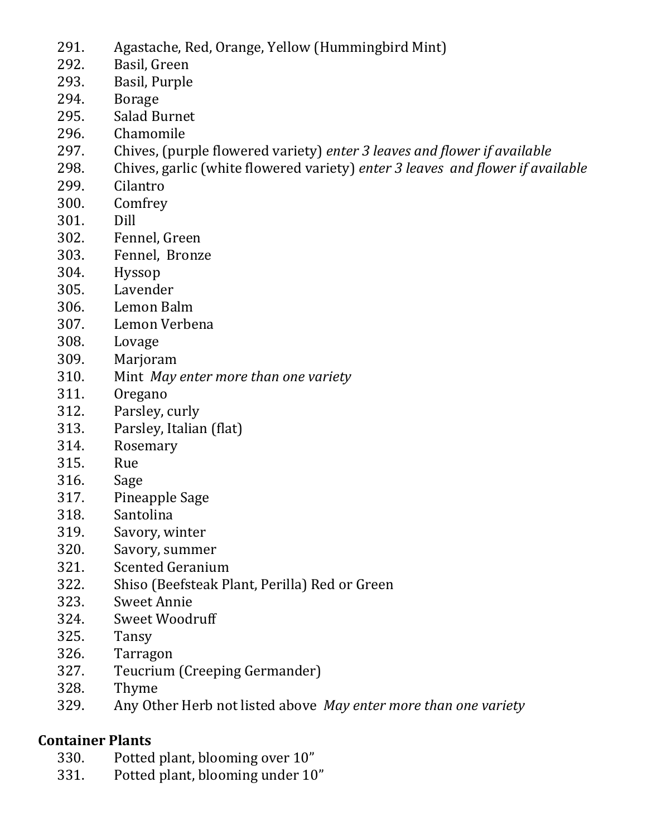- 291. Agastache, Red, Orange, Yellow (Hummingbird Mint)
- 292. Basil, Green
- 293. Basil, Purple
- 294. Borage
- 295. Salad Burnet
- 296. Chamomile
- 297. Chives, (purple flowered variety) *enter 3 leaves and flower if available*
- 298. Chives, garlic (white flowered variety) *enter 3 leaves and flower if available*
- 299. Cilantro
- 300. Comfrey
- 301. Dill
- 302. Fennel, Green
- 303. Fennel, Bronze
- 304. Hyssop
- 305. Lavender
- 306. Lemon Balm
- 307. Lemon Verbena
- 308. Lovage
- 309. Marjoram
- 310. Mint *May enter more than one variety*
- 311. Oregano
- 312. Parsley, curly
- 313. Parsley, Italian (flat)
- 314. Rosemary
- 315. Rue
- 316. Sage
- 317. Pineapple Sage
- 318. Santolina
- 319. Savory, winter
- 320. Savory, summer
- 321. Scented Geranium
- 322. Shiso (Beefsteak Plant, Perilla) Red or Green
- 323. Sweet Annie
- 324. Sweet Woodruff
- 325. Tansy
- 326. Tarragon
- 327. Teucrium (Creeping Germander)
- 328. Thyme
- 329. Any Other Herb not listed above *May enter more than one variety*

# **Container Plants**

- 330. Potted plant, blooming over 10"
- 331. Potted plant, blooming under 10"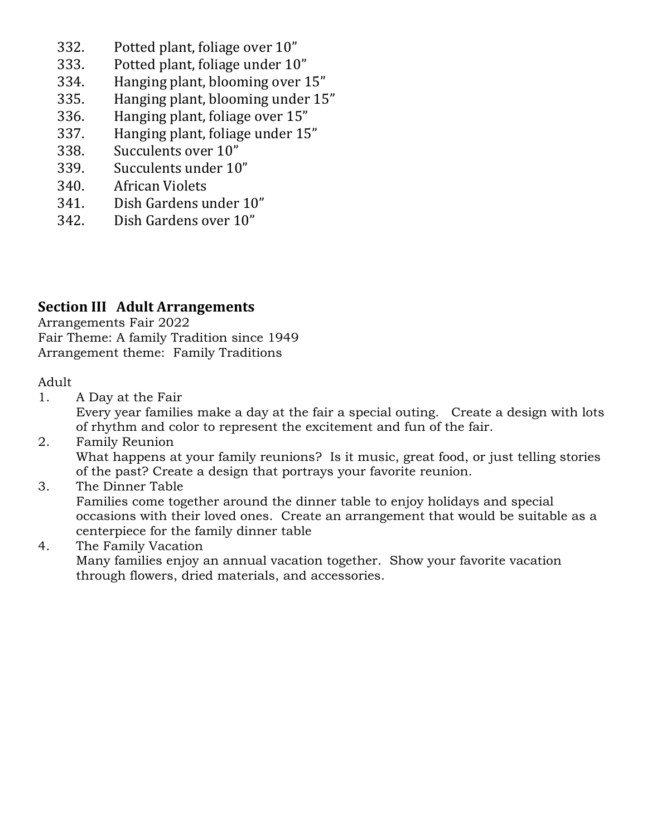- 332. Potted plant, foliage over 10"
- 333. Potted plant, foliage under 10"
- 334. Hanging plant, blooming over 15"
- 335. Hanging plant, blooming under 15"
- 336. Hanging plant, foliage over 15"
- 337. Hanging plant, foliage under 15"
- 338. Succulents over 10"
- 339. Succulents under 10"
- 340. African Violets
- 341. Dish Gardens under 10"
- 342. Dish Gardens over 10"

#### **Section III Adult Arrangements**

Arrangements Fair 2022 Fair Theme: A family Tradition since 1949 Arrangement theme: Family Traditions

Adult

1. A Day at the Fair

Every year families make a day at the fair a special outing. Create a design with lots of rhythm and color to represent the excitement and fun of the fair.

- 2. Family Reunion What happens at your family reunions? Is it music, great food, or just telling stories of the past? Create a design that portrays your favorite reunion.
- 3. The Dinner Table

Families come together around the dinner table to enjoy holidays and special occasions with their loved ones. Create an arrangement that would be suitable as a centerpiece for the family dinner table

4. The Family Vacation

Many families enjoy an annual vacation together. Show your favorite vacation through flowers, dried materials, and accessories.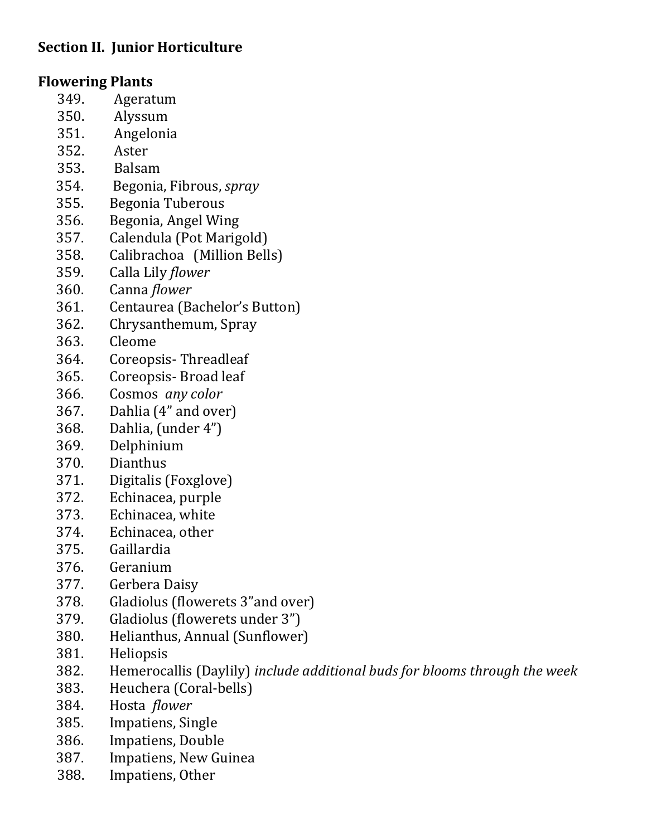## **Section II. Junior Horticulture**

### **Flowering Plants**

- 349. Ageratum
- 350. Alyssum
- 351. Angelonia
- 352. Aster
- 353. Balsam
- 354. Begonia, Fibrous, *spray*
- 355. Begonia Tuberous
- 356. Begonia, Angel Wing
- 357. Calendula (Pot Marigold)
- 358. Calibrachoa (Million Bells)
- 359. Calla Lily *flower*
- 360. Canna *flower*
- 361. Centaurea (Bachelor's Button)
- 362. Chrysanthemum, Spray
- 363. Cleome
- 364. Coreopsis- Threadleaf
- 365. Coreopsis- Broad leaf
- 366. Cosmos *any color*
- 367. Dahlia (4" and over)
- 368. Dahlia, (under 4")
- 369. Delphinium
- 370. Dianthus
- 371. Digitalis (Foxglove)
- 372. Echinacea, purple
- 373. Echinacea, white
- 374. Echinacea, other
- 375. Gaillardia
- 376. Geranium
- 377. Gerbera Daisy
- 378. Gladiolus (flowerets 3"and over)
- 379. Gladiolus (flowerets under 3")
- 380. Helianthus, Annual (Sunflower)
- 381. Heliopsis
- 382. Hemerocallis (Daylily) *include additional buds for blooms through the week*
- 383. Heuchera (Coral-bells)
- 384. Hosta *flower*
- 385. Impatiens, Single
- 386. Impatiens, Double
- 387. Impatiens, New Guinea
- 388. Impatiens, Other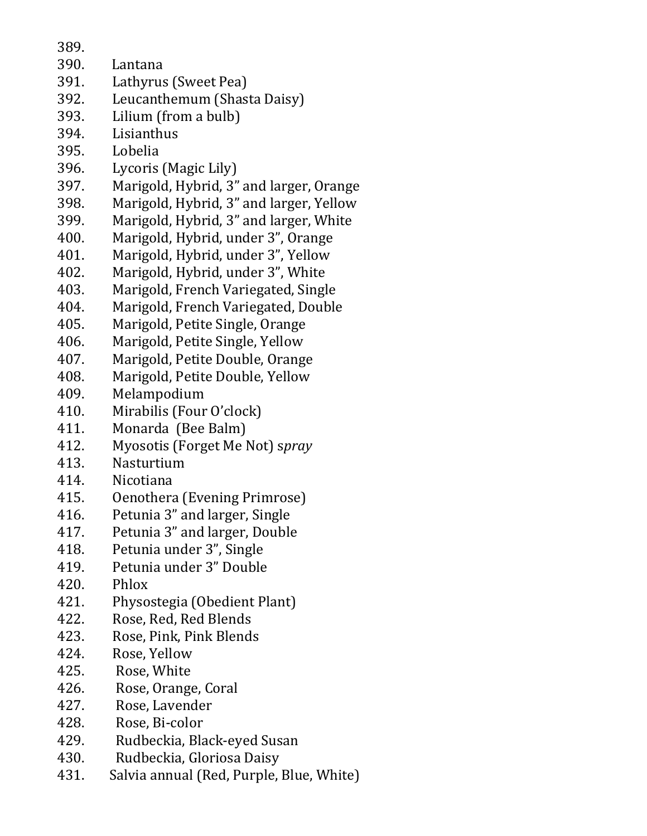389.

- 390. Lantana
- 391. Lathyrus (Sweet Pea)
- 392. Leucanthemum (Shasta Daisy)
- 393. Lilium (from a bulb)
- 394. Lisianthus
- 395. Lobelia
- 396. Lycoris (Magic Lily)
- 397. Marigold, Hybrid, 3" and larger, Orange
- 398. Marigold, Hybrid, 3" and larger, Yellow
- 399. Marigold, Hybrid, 3" and larger, White
- 400. Marigold, Hybrid, under 3", Orange
- 401. Marigold, Hybrid, under 3", Yellow
- 402. Marigold, Hybrid, under 3", White
- 403. Marigold, French Variegated, Single
- 404. Marigold, French Variegated, Double
- 405. Marigold, Petite Single, Orange
- 406. Marigold, Petite Single, Yellow
- 407. Marigold, Petite Double, Orange
- 408. Marigold, Petite Double, Yellow
- 409. Melampodium
- 410. Mirabilis (Four O'clock)
- 411. Monarda (Bee Balm)
- 412. Myosotis (Forget Me Not) s*pray*
- 413. Nasturtium
- 414. Nicotiana
- 415. Oenothera (Evening Primrose)
- 416. Petunia 3" and larger, Single
- 417. Petunia 3" and larger, Double
- 418. Petunia under 3", Single
- 419. Petunia under 3" Double
- 420. Phlox
- 421. Physostegia (Obedient Plant)
- 422. Rose, Red, Red Blends
- 423. Rose, Pink, Pink Blends
- 424. Rose, Yellow
- 425. Rose, White
- 426. Rose, Orange, Coral
- 427. Rose, Lavender
- 428. Rose, Bi-color
- 429. Rudbeckia, Black-eyed Susan
- 430. Rudbeckia, Gloriosa Daisy
- 431. Salvia annual (Red, Purple, Blue, White)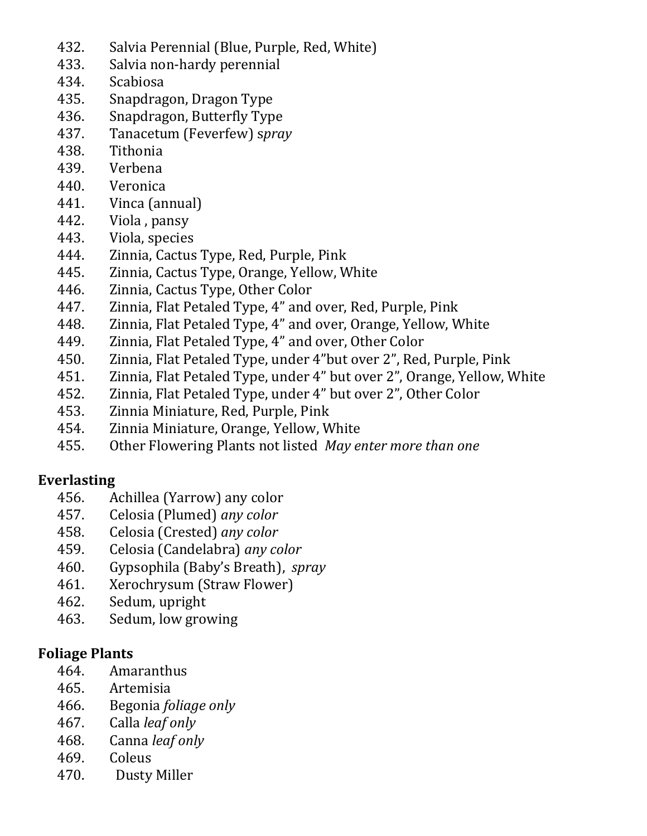- 432. Salvia Perennial (Blue, Purple, Red, White)
- 433. Salvia non-hardy perennial
- 434. Scabiosa
- 435. Snapdragon, Dragon Type
- 436. Snapdragon, Butterfly Type
- 437. Tanacetum (Feverfew) s*pray*
- 438. Tithonia
- 439. Verbena
- 440. Veronica
- 441. Vinca (annual)
- 442. Viola , pansy
- 443. Viola, species
- 444. Zinnia, Cactus Type, Red, Purple, Pink
- 445. Zinnia, Cactus Type, Orange, Yellow, White
- 446. Zinnia, Cactus Type, Other Color
- 447. Zinnia, Flat Petaled Type, 4" and over, Red, Purple, Pink
- 448. Zinnia, Flat Petaled Type, 4" and over, Orange, Yellow, White
- 449. Zinnia, Flat Petaled Type, 4" and over, Other Color
- 450. Zinnia, Flat Petaled Type, under 4"but over 2", Red, Purple, Pink
- 451. Zinnia, Flat Petaled Type, under 4" but over 2", Orange, Yellow, White
- 452. Zinnia, Flat Petaled Type, under 4" but over 2", Other Color
- 453. Zinnia Miniature, Red, Purple, Pink
- 454. Zinnia Miniature, Orange, Yellow, White
- 455. Other Flowering Plants not listed *May enter more than one*

# **Everlasting**

- 456. Achillea (Yarrow) any color
- 457. Celosia (Plumed) *any color*
- 458. Celosia (Crested) *any color*
- 459. Celosia (Candelabra) *any color*
- 460. Gypsophila (Baby's Breath), *spray*
- 461. Xerochrysum (Straw Flower)
- 462. Sedum, upright
- 463. Sedum, low growing

### **Foliage Plants**

- 464. Amaranthus
- 465. Artemisia
- 466. Begonia *foliage only*
- 467. Calla *leaf only*
- 468. Canna *leaf only*
- 469. Coleus
- 470. Dusty Miller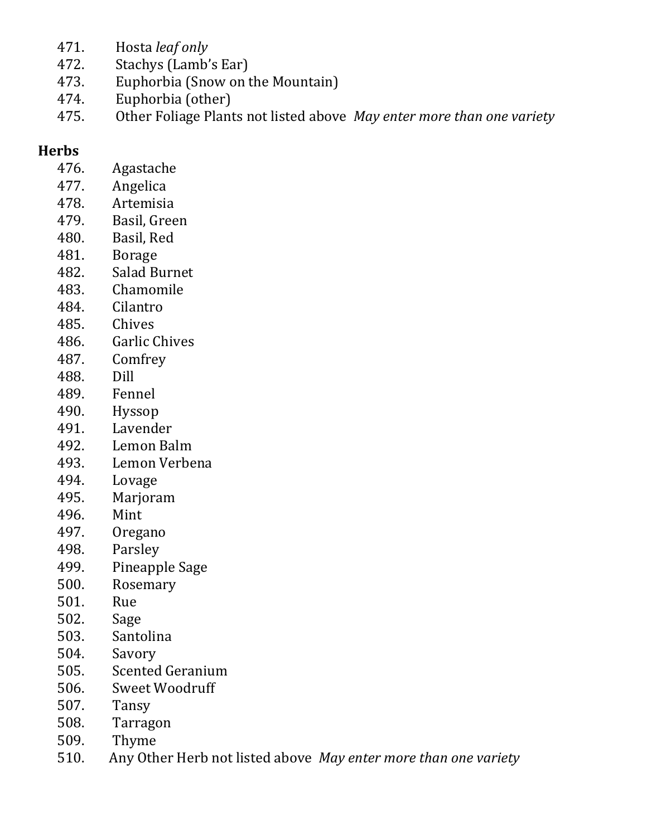- 471. Hosta *leaf only*
- 472. Stachys (Lamb's Ear)
- 473. Euphorbia (Snow on the Mountain)
- 474. Euphorbia (other)
- 475. Other Foliage Plants not listed above *May enter more than one variety*

#### **Herbs**

- 476. Agastache
- 477. Angelica
- 478. Artemisia
- 479. Basil, Green
- 480. Basil, Red
- 481. Borage
- 482. Salad Burnet
- 483. Chamomile
- 484. Cilantro
- 485. Chives
- 486. Garlic Chives
- 487. Comfrey
- 488. Dill
- 489. Fennel
- 490. Hyssop
- 491. Lavender
- 492. Lemon Balm
- 493. Lemon Verbena
- 494. Lovage
- 495. Marjoram
- 496. Mint
- 497. Oregano
- 498. Parsley
- 499. Pineapple Sage
- 500. Rosemary
- 501. Rue
- 502. Sage
- 503. Santolina
- 504. Savory
- 505. Scented Geranium
- 506. Sweet Woodruff
- 507. Tansy
- 508. Tarragon
- 509. Thyme
- 510. Any Other Herb not listed above *May enter more than one variety*